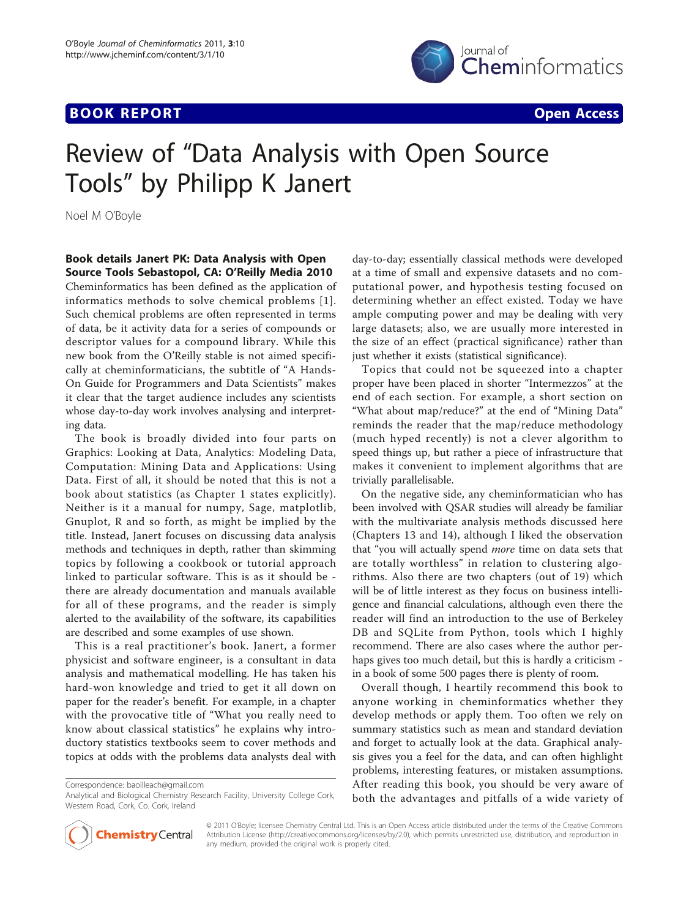## **BOOK REPORT BOOK REPORT Open Access**



## Review of "Data Analysis with Open Source Tools" by Philipp K Janert

Noel M O'Boyle

Book details Janert PK: Data Analysis with Open Source Tools Sebastopol, CA: O'Reilly Media 2010

Cheminformatics has been defined as the application of informatics methods to solve chemical problems [[1\]](#page-1-0). Such chemical problems are often represented in terms of data, be it activity data for a series of compounds or descriptor values for a compound library. While this new book from the O'Reilly stable is not aimed specifically at cheminformaticians, the subtitle of "A Hands-On Guide for Programmers and Data Scientists" makes it clear that the target audience includes any scientists whose day-to-day work involves analysing and interpreting data.

The book is broadly divided into four parts on Graphics: Looking at Data, Analytics: Modeling Data, Computation: Mining Data and Applications: Using Data. First of all, it should be noted that this is not a book about statistics (as Chapter 1 states explicitly). Neither is it a manual for numpy, Sage, matplotlib, Gnuplot, R and so forth, as might be implied by the title. Instead, Janert focuses on discussing data analysis methods and techniques in depth, rather than skimming topics by following a cookbook or tutorial approach linked to particular software. This is as it should be there are already documentation and manuals available for all of these programs, and the reader is simply alerted to the availability of the software, its capabilities are described and some examples of use shown.

This is a real practitioner's book. Janert, a former physicist and software engineer, is a consultant in data analysis and mathematical modelling. He has taken his hard-won knowledge and tried to get it all down on paper for the reader's benefit. For example, in a chapter with the provocative title of "What you really need to know about classical statistics" he explains why introductory statistics textbooks seem to cover methods and topics at odds with the problems data analysts deal with

Correspondence: [baoilleach@gmail.com](mailto:baoilleach@gmail.com)

Analytical and Biological Chemistry Research Facility, University College Cork, Western Road, Cork, Co. Cork, Ireland

day-to-day; essentially classical methods were developed at a time of small and expensive datasets and no computational power, and hypothesis testing focused on determining whether an effect existed. Today we have ample computing power and may be dealing with very large datasets; also, we are usually more interested in the size of an effect (practical significance) rather than just whether it exists (statistical significance).

Topics that could not be squeezed into a chapter proper have been placed in shorter "Intermezzos" at the end of each section. For example, a short section on "What about map/reduce?" at the end of "Mining Data" reminds the reader that the map/reduce methodology (much hyped recently) is not a clever algorithm to speed things up, but rather a piece of infrastructure that makes it convenient to implement algorithms that are trivially parallelisable.

On the negative side, any cheminformatician who has been involved with QSAR studies will already be familiar with the multivariate analysis methods discussed here (Chapters 13 and 14), although I liked the observation that "you will actually spend more time on data sets that are totally worthless" in relation to clustering algorithms. Also there are two chapters (out of 19) which will be of little interest as they focus on business intelligence and financial calculations, although even there the reader will find an introduction to the use of Berkeley DB and SQLite from Python, tools which I highly recommend. There are also cases where the author perhaps gives too much detail, but this is hardly a criticism in a book of some 500 pages there is plenty of room.

Overall though, I heartily recommend this book to anyone working in cheminformatics whether they develop methods or apply them. Too often we rely on summary statistics such as mean and standard deviation and forget to actually look at the data. Graphical analysis gives you a feel for the data, and can often highlight problems, interesting features, or mistaken assumptions. After reading this book, you should be very aware of both the advantages and pitfalls of a wide variety of



© 2011 O'Boyle; licensee Chemistry Central Ltd. This is an Open Access article distributed under the terms of the Creative Commons Attribution License [\(http://creativecommons.org/licenses/by/2.0](http://creativecommons.org/licenses/by/2.0)), which permits unrestricted use, distribution, and reproduction in any medium, provided the original work is properly cited.